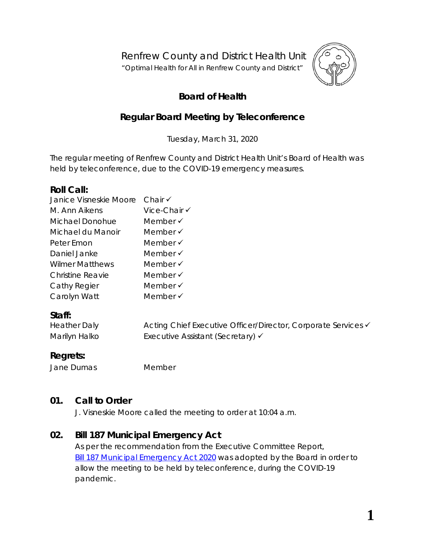Renfrew County and District Health Unit

"*Optimal Health for All in Renfrew County and District"*



## **Board of Health**

## **Regular Board Meeting by Teleconference**

Tuesday, March 31, 2020

The regular meeting of Renfrew County and District Health Unit's Board of Health was held by teleconference, due to the COVID-19 emergency measures.

#### **Roll Call:**

| Janice Visneskie Moore  | Chair $\checkmark$  |
|-------------------------|---------------------|
| M. Ann Aikens           | Vice-Chair √        |
| Michael Donohue         | Member $\checkmark$ |
| Michael du Manoir       | Member $\checkmark$ |
| Peter Emon              | Member √            |
| Daniel Janke            | Member $\checkmark$ |
| <b>Wilmer Matthews</b>  | Member $\checkmark$ |
| <b>Christine Reavie</b> | Member $\checkmark$ |
| Cathy Regier            | Member √            |
| Carolyn Watt            | Member √            |
|                         |                     |

### **Staff:**

| <b>Heather Daly</b> | Acting Chief Executive Officer/Director, Corporate Services <del>V</del> |
|---------------------|--------------------------------------------------------------------------|
| Marilyn Halko       | Executive Assistant (Secretary) √                                        |

### **Regrets:**

Jane Dumas Member

### **01. Call to Order**

J. Visneskie Moore called the meeting to order at 10:04 a.m.

### **02. Bill 187 Municipal Emergency Act**

As per the recommendation from the Executive Committee Report, Bill 187 [Municipal Emergency Act 2020](https://www.rcdhu.com/wp-content/uploads/2020/04/02.-Bill-187-Municipal-Emergency-Act-2020.pdf) was adopted by the Board in order to allow the meeting to be held by teleconference, during the COVID-19 pandemic.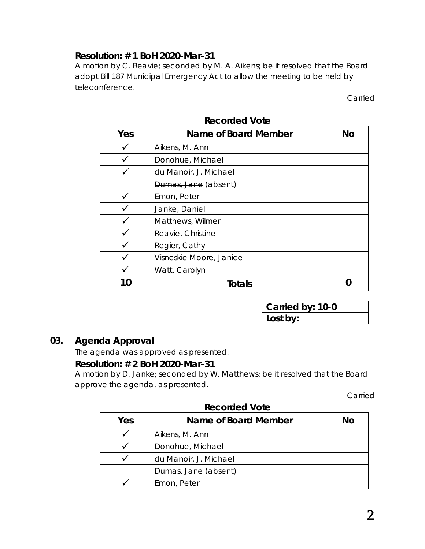## **Resolution: # 1 BoH 2020-Mar-31**

A motion by C. Reavie; seconded by M. A. Aikens; be it resolved that the Board adopt Bill 187 Municipal Emergency Act to allow the meeting to be held by teleconference.

Carried

| Yes | Name of Board Member    | <b>No</b> |
|-----|-------------------------|-----------|
|     | Aikens, M. Ann          |           |
|     | Donohue, Michael        |           |
|     | du Manoir, J. Michael   |           |
|     | Dumas, Jane (absent)    |           |
|     | Emon, Peter             |           |
|     | Janke, Daniel           |           |
|     | Matthews, Wilmer        |           |
|     | Reavie, Christine       |           |
|     | Regier, Cathy           |           |
|     | Visneskie Moore, Janice |           |
|     | Watt, Carolyn           |           |
|     | Totals                  |           |

**Recorded Vote**

**Carried by: 10-0 Lost by:**

### **03. Agenda Approval**

The agenda was approved as presented.

#### **Resolution: # 2 BoH 2020-Mar-31**

A motion by D. Janke; seconded by W. Matthews; be it resolved that the Board approve the agenda, as presented.

Carried

| Yes | Name of Board Member  | No |
|-----|-----------------------|----|
|     | Aikens, M. Ann        |    |
|     | Donohue, Michael      |    |
|     | du Manoir, J. Michael |    |
|     | Dumas, Jane (absent)  |    |
|     | Emon, Peter           |    |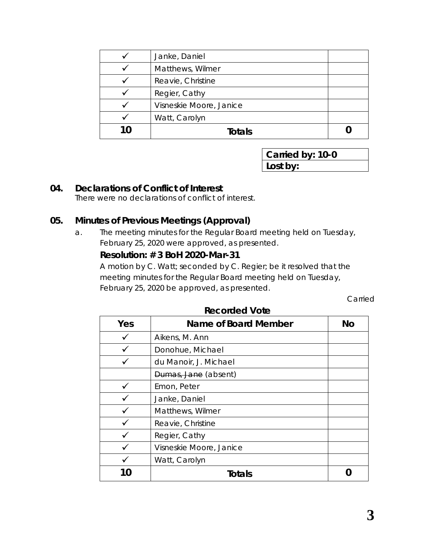| Janke, Daniel           |  |
|-------------------------|--|
| Matthews, Wilmer        |  |
| Reavie, Christine       |  |
| Regier, Cathy           |  |
| Visneskie Moore, Janice |  |
| Watt, Carolyn           |  |
| Totals                  |  |

#### **04. Declarations of Conflict of Interest**

There were no declarations of conflict of interest.

#### **05. Minutes of Previous Meetings (Approval)**

a. The meeting minutes for the Regular Board meeting held on Tuesday, February 25, 2020 were approved, as presented.

#### **Resolution: # 3 BoH 2020-Mar-31**

A motion by C. Watt; seconded by C. Regier; be it resolved that the meeting minutes for the Regular Board meeting held on Tuesday, February 25, 2020 be approved, as presented.

Carried

| Yes | Name of Board Member    | <b>No</b> |
|-----|-------------------------|-----------|
|     | Aikens, M. Ann          |           |
|     | Donohue, Michael        |           |
|     | du Manoir, J. Michael   |           |
|     | Dumas, Jane (absent)    |           |
|     | Emon, Peter             |           |
|     | Janke, Daniel           |           |
|     | Matthews, Wilmer        |           |
|     | Reavie, Christine       |           |
|     | Regier, Cathy           |           |
|     | Visneskie Moore, Janice |           |
|     | Watt, Carolyn           |           |
| 10  | Totals                  |           |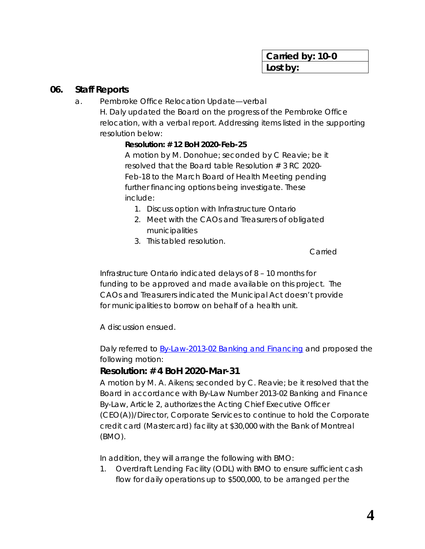#### **06. Staff Reports**

a. Pembroke Office Relocation Update—verbal

H. Daly updated the Board on the progress of the Pembroke Office relocation, with a verbal report. Addressing items listed in the supporting resolution below:

#### *Resolution: # 12 BoH 2020-Feb-25*

*A motion by M. Donohue; seconded by C Reavie; be it resolved that the Board table Resolution # 3 RC 2020- Feb-18 to the March Board of Health Meeting pending further financing options being investigate. These include:*

- *1. Discuss option with Infrastructure Ontario*
- *2. Meet with the CAOs and Treasurers of obligated municipalities*
- *3. This tabled resolution.*

*Carried*

Infrastructure Ontario indicated delays of 8 – 10 months for funding to be approved and made available on this project. The CAOs and Treasurers indicated the Municipal Act doesn't provide for municipalities to borrow on behalf of a health unit.

A discussion ensued.

Daly referred to **By-Law-2013-02 Banking and Financing and proposed the** following motion:

### **Resolution: # 4 BoH 2020-Mar-31**

A motion by M. A. Aikens; seconded by C. Reavie; be it resolved that the Board in accordance with By-Law Number 2013-02 Banking and Finance By-Law, Article 2, authorizes the Acting Chief Executive Officer (CEO(A))/Director, Corporate Services to continue to hold the Corporate credit card (Mastercard) facility at \$30,000 with the Bank of Montreal (BMO).

In addition, they will arrange the following with BMO:

1. Overdraft Lending Facility (ODL) with BMO to ensure sufficient cash flow for daily operations up to \$500,000, to be arranged per the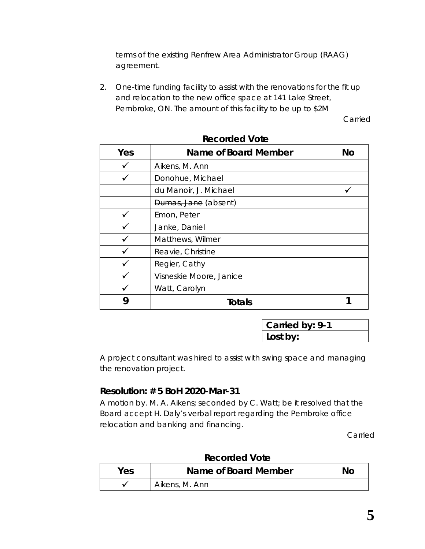terms of the existing Renfrew Area Administrator Group (RAAG) agreement.

2. One-time funding facility to assist with the renovations for the fit up and relocation to the new office space at 141 Lake Street, Pembroke, ON. The amount of this facility to be up to \$2M

Carried

| Yes | <b>Name of Board Member</b> | <b>No</b> |
|-----|-----------------------------|-----------|
|     | Aikens, M. Ann              |           |
|     | Donohue, Michael            |           |
|     | du Manoir, J. Michael       |           |
|     | Dumas, Jane (absent)        |           |
|     | Emon, Peter                 |           |
|     | Janke, Daniel               |           |
|     | Matthews, Wilmer            |           |
|     | Reavie, Christine           |           |
|     | Regier, Cathy               |           |
|     | Visneskie Moore, Janice     |           |
|     | Watt, Carolyn               |           |
|     | <b>Totals</b>               |           |

**Recorded Vote**

**Carried by: 9-1 Lost by:**

A project consultant was hired to assist with swing space and managing the renovation project.

### **Resolution: # 5 BoH 2020-Mar-31**

A motion by. M. A. Aikens; seconded by C. Watt; be it resolved that the Board accept H. Daly's verbal report regarding the Pembroke office relocation and banking and financing.

Carried

| <b>Yes</b> | <u>NAMINAN ING </u><br>Name of Board Member | No |
|------------|---------------------------------------------|----|
|            | Aikens, M. Ann                              |    |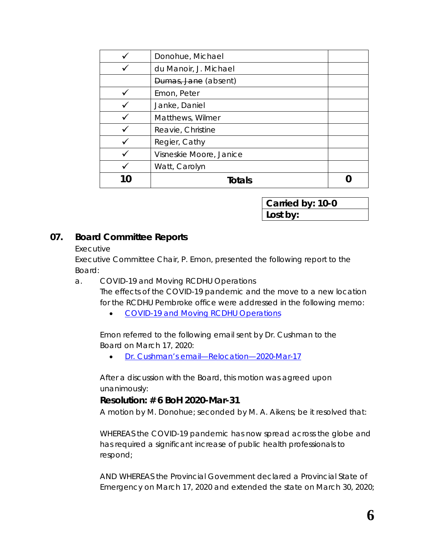|    | Donohue, Michael        |  |
|----|-------------------------|--|
|    | du Manoir, J. Michael   |  |
|    | Dumas, Jane (absent)    |  |
|    | Emon, Peter             |  |
|    | Janke, Daniel           |  |
|    | Matthews, Wilmer        |  |
|    | Reavie, Christine       |  |
|    | Regier, Cathy           |  |
|    | Visneskie Moore, Janice |  |
|    | Watt, Carolyn           |  |
| 10 | Totals                  |  |

### **07. Board Committee Reports**

#### Executive

Executive Committee Chair, P. Emon, presented the following report to the Board:

a. COVID-19 and Moving RCDHU Operations

The effects of the COVID-19 pandemic and the move to a new location for the RCDHU Pembroke office were addressed in the following memo:

• [COVID-19 and Moving RCDHU Operations](https://www.rcdhu.com/wp-content/uploads/2020/04/07.-a.-COVID-19-and-Moving-RCDHU-Operations-Memo.pdf)

Emon referred to the following email sent by Dr. Cushman to the Board on March 17, 2020:

• [Dr. Cushman's email—Relocation—2020-Mar-17](https://www.rcdhu.com/wp-content/uploads/2020/04/07.-a.-Dr.-Cushmans-email-Relocation-2020-Mar-17.pdf)

After a discussion with the Board, this motion was agreed upon unanimously:

#### **Resolution: # 6 BoH 2020-Mar-31**

A motion by M. Donohue; seconded by M. A. Aikens; be it resolved that:

WHEREAS the COVID-19 pandemic has now spread across the globe and has required a significant increase of public health professionals to respond;

AND WHEREAS the Provincial Government declared a Provincial State of Emergency on March 17, 2020 and extended the state on March 30, 2020;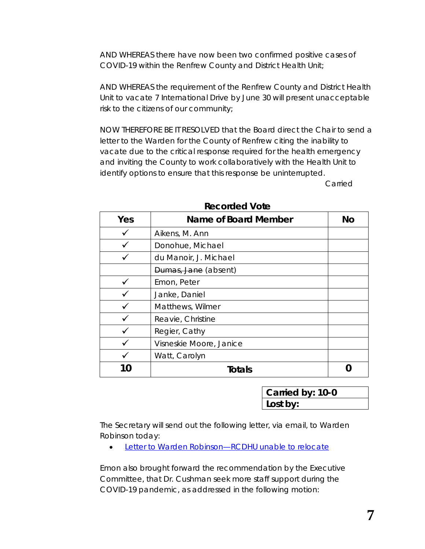AND WHEREAS there have now been two confirmed positive cases of COVID-19 within the Renfrew County and District Health Unit;

AND WHEREAS the requirement of the Renfrew County and District Health Unit to vacate 7 International Drive by June 30 will present unacceptable risk to the citizens of our community;

NOW THEREFORE BE IT RESOLVED that the Board direct the Chair to send a letter to the Warden for the County of Renfrew citing the inability to vacate due to the critical response required for the health emergency and inviting the County to work collaboratively with the Health Unit to identify options to ensure that this response be uninterrupted.

Carried

| Yes | Name of Board Member    | No |
|-----|-------------------------|----|
|     | Aikens, M. Ann          |    |
|     | Donohue, Michael        |    |
|     | du Manoir, J. Michael   |    |
|     | Dumas, Jane (absent)    |    |
|     | Emon, Peter             |    |
|     | Janke, Daniel           |    |
|     | Matthews, Wilmer        |    |
|     | Reavie, Christine       |    |
|     | Regier, Cathy           |    |
|     | Visneskie Moore, Janice |    |
|     | Watt, Carolyn           |    |
| 0   | Totals                  |    |

#### **Recorded Vote**

| Carried by: 10-0 |  |
|------------------|--|
| Lost by:         |  |

The Secretary will send out the following letter, via email, to Warden Robinson today:

• [Letter to Warden Robinson—RCDHU unable to relocate](https://www.rcdhu.com/wp-content/uploads/2020/04/07.-a.-Letter-to-Warden-Robinson-RCDHU-unable-to-relocate.pdf)

Emon also brought forward the recommendation by the Executive Committee, that Dr. Cushman seek more staff support during the COVID-19 pandemic, as addressed in the following motion: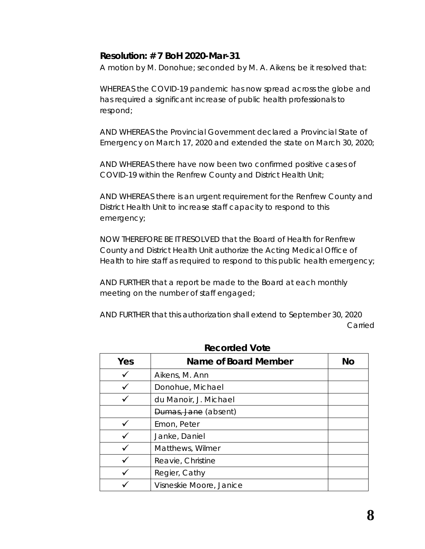#### **Resolution: # 7 BoH 2020-Mar-31**

A motion by M. Donohue; seconded by M. A. Aikens; be it resolved that:

WHEREAS the COVID-19 pandemic has now spread across the globe and has required a significant increase of public health professionals to respond;

AND WHEREAS the Provincial Government declared a Provincial State of Emergency on March 17, 2020 and extended the state on March 30, 2020;

AND WHEREAS there have now been two confirmed positive cases of COVID-19 within the Renfrew County and District Health Unit;

AND WHEREAS there is an urgent requirement for the Renfrew County and District Health Unit to increase staff capacity to respond to this emergency;

NOW THEREFORE BE IT RESOLVED that the Board of Health for Renfrew County and District Health Unit authorize the Acting Medical Office of Health to hire staff as required to respond to this public health emergency;

AND FURTHER that a report be made to the Board at each monthly meeting on the number of staff engaged;

AND FURTHER that this authorization shall extend to September 30, 2020 Carried

| Yes | Name of Board Member    | <b>No</b> |
|-----|-------------------------|-----------|
|     | Aikens, M. Ann          |           |
|     | Donohue, Michael        |           |
|     | du Manoir, J. Michael   |           |
|     | Dumas, Jane (absent)    |           |
|     | Emon, Peter             |           |
|     | Janke, Daniel           |           |
|     | Matthews, Wilmer        |           |
|     | Reavie, Christine       |           |
|     | Regier, Cathy           |           |
|     | Visneskie Moore, Janice |           |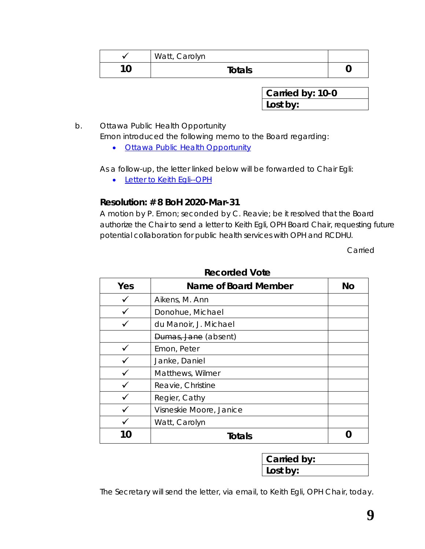|   | Watt, Carolyn |  |
|---|---------------|--|
| ח | Totals        |  |

b. Ottawa Public Health Opportunity

Emon introduced the following memo to the Board regarding:

• [Ottawa Public Health Opportunity](https://www.rcdhu.com/wp-content/uploads/2020/04/07.-b.-Ottawa-Public-Health-Opportunity.pdf)

As a follow-up, the letter linked below will be forwarded to Chair Egli:

• [Letter to Keith Egli--OPH](https://www.rcdhu.com/wp-content/uploads/2020/04/07.-b.-Letter-to-Chair-Keith-Egli-OPH.pdf)

### **Resolution: # 8 BoH 2020-Mar-31**

A motion by P. Emon; seconded by C. Reavie; be it resolved that the Board authorize the Chair to send a letter to Keith Egli, OPH Board Chair, requesting future potential collaboration for public health services with OPH and RCDHU.

Carried

| Yes | Name of Board Member    | No |
|-----|-------------------------|----|
|     | Aikens, M. Ann          |    |
|     | Donohue, Michael        |    |
|     | du Manoir, J. Michael   |    |
|     | Dumas, Jane (absent)    |    |
|     | Emon, Peter             |    |
|     | Janke, Daniel           |    |
|     | Matthews, Wilmer        |    |
|     | Reavie, Christine       |    |
|     | Regier, Cathy           |    |
|     | Visneskie Moore, Janice |    |
|     | Watt, Carolyn           |    |
| 10  | Totals                  |    |

**Recorded Vote**

| Carried by: |  |
|-------------|--|
| Lost by:    |  |

The Secretary will send the letter, via email, to Keith Egli, OPH Chair, today.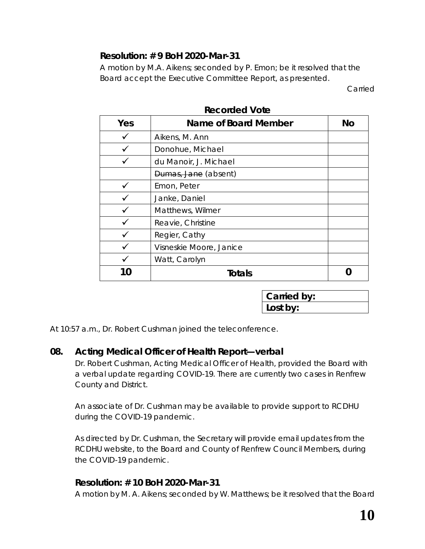## **Resolution: # 9 BoH 2020-Mar-31**

A motion by M.A. Aikens; seconded by P. Emon; be it resolved that the Board accept the Executive Committee Report, as presented.

Carried

| Yes      | Name of Board Member    | <b>No</b> |
|----------|-------------------------|-----------|
|          | Aikens, M. Ann          |           |
|          | Donohue, Michael        |           |
|          | du Manoir, J. Michael   |           |
|          | Dumas, Jane (absent)    |           |
|          | Emon, Peter             |           |
|          | Janke, Daniel           |           |
|          | Matthews, Wilmer        |           |
|          | Reavie, Christine       |           |
|          | Regier, Cathy           |           |
|          | Visneskie Moore, Janice |           |
|          | Watt, Carolyn           |           |
| $\Gamma$ | Totals                  |           |

#### **Recorded Vote**

| Carried by: |  |
|-------------|--|
| Lost by:    |  |

At 10:57 a.m., Dr. Robert Cushman joined the teleconference.

### **08. Acting Medical Officer of Health Report—verbal**

Dr. Robert Cushman, Acting Medical Officer of Health, provided the Board with a verbal update regarding COVID-19. There are currently two cases in Renfrew County and District.

An associate of Dr. Cushman may be available to provide support to RCDHU during the COVID-19 pandemic.

As directed by Dr. Cushman, the Secretary will provide email updates from the RCDHU website, to the Board and County of Renfrew Council Members, during the COVID-19 pandemic.

### **Resolution: # 10 BoH 2020-Mar-31**

A motion by M. A. Aikens; seconded by W. Matthews; be it resolved that the Board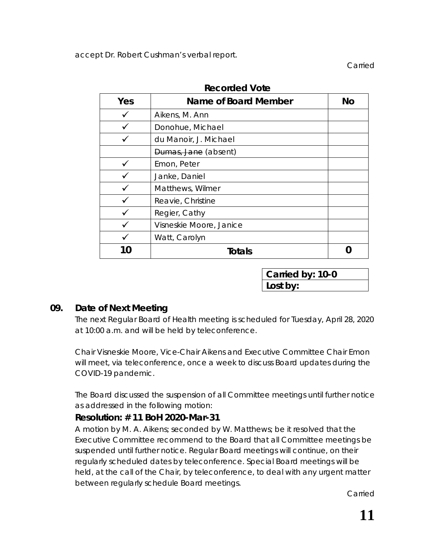accept Dr. Robert Cushman's verbal report.

Carried

| Yes | Name of Board Member    | <b>No</b> |
|-----|-------------------------|-----------|
|     | Aikens, M. Ann          |           |
|     | Donohue, Michael        |           |
|     | du Manoir, J. Michael   |           |
|     | Dumas, Jane (absent)    |           |
|     | Emon, Peter             |           |
|     | Janke, Daniel           |           |
|     | Matthews, Wilmer        |           |
|     | Reavie, Christine       |           |
|     | Regier, Cathy           |           |
|     | Visneskie Moore, Janice |           |
|     | Watt, Carolyn           |           |
|     | Totals                  |           |

**Recorded Vote**

**Carried by: 10-0 Lost by:**

### **09. Date of Next Meeting**

The next Regular Board of Health meeting is scheduled for Tuesday, April 28, 2020 at 10:00 a.m. and will be held by teleconference.

Chair Visneskie Moore, Vice-Chair Aikens and Executive Committee Chair Emon will meet, via teleconference, once a week to discuss Board updates during the COVID-19 pandemic.

The Board discussed the suspension of all Committee meetings until further notice as addressed in the following motion:

#### **Resolution: # 11 BoH 2020-Mar-31**

A motion by M. A. Aikens; seconded by W. Matthews; be it resolved that the Executive Committee recommend to the Board that all Committee meetings be suspended until further notice. Regular Board meetings will continue, on their regularly scheduled dates by teleconference. Special Board meetings will be held, at the call of the Chair, by teleconference, to deal with any urgent matter between regularly schedule Board meetings.

Carried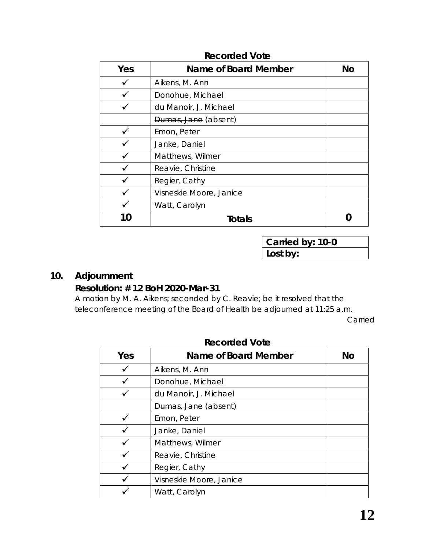| Yes | Name of Board Member    | <b>No</b> |
|-----|-------------------------|-----------|
|     | Aikens, M. Ann          |           |
|     | Donohue, Michael        |           |
|     | du Manoir, J. Michael   |           |
|     | Dumas, Jane (absent)    |           |
|     | Emon, Peter             |           |
|     | Janke, Daniel           |           |
|     | Matthews, Wilmer        |           |
|     | Reavie, Christine       |           |
|     | Regier, Cathy           |           |
|     | Visneskie Moore, Janice |           |
|     | Watt, Carolyn           |           |
|     | Totals                  |           |

#### **Recorded Vote**

**Carried by: 10-0 Lost by:**

## **10. Adjournment**

## **Resolution: # 12 BoH 2020-Mar-31**

A motion by M. A. Aikens; seconded by C. Reavie; be it resolved that the teleconference meeting of the Board of Health be adjourned at 11:25 a.m.

Carried

| Yes | Name of Board Member    | <b>No</b> |
|-----|-------------------------|-----------|
|     | Aikens, M. Ann          |           |
|     | Donohue, Michael        |           |
|     | du Manoir, J. Michael   |           |
|     | Dumas, Jane (absent)    |           |
|     | Emon, Peter             |           |
|     | Janke, Daniel           |           |
|     | Matthews, Wilmer        |           |
|     | Reavie, Christine       |           |
|     | Regier, Cathy           |           |
|     | Visneskie Moore, Janice |           |
|     | Watt, Carolyn           |           |